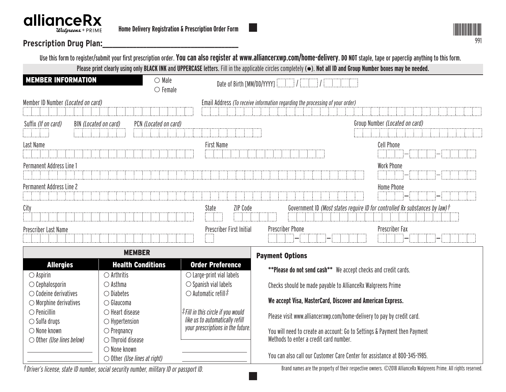# **allianceRX**



# **Prescription Drug Plan:\_\_\_\_\_\_\_\_\_\_\_\_\_\_\_\_\_\_\_\_\_\_\_\_\_\_\_\_\_\_\_\_\_\_\_\_\_\_\_\_**

|                                               |                                                                                         |                                                                                   | Use this form to register/submit your first prescription order. You can also register at www.alliancerxwp.com/home-delivery. DO NOT staple, tape or paperclip anything to this form. |  |
|-----------------------------------------------|-----------------------------------------------------------------------------------------|-----------------------------------------------------------------------------------|--------------------------------------------------------------------------------------------------------------------------------------------------------------------------------------|--|
|                                               |                                                                                         |                                                                                   | Please print clearly using only BLACK INK and UPPERCASE letters. Fill in the applicable circles completely ( $\bullet$ ). Not all ID and Group Number boxes may be needed.           |  |
| <b>MEMBER INFORMATION</b>                     | $\bigcirc$ Male<br>$\circ$ Female                                                       | Date of Birth [MM/DD/YYYY]                                                        |                                                                                                                                                                                      |  |
| Member ID Number (Located on card)            |                                                                                         |                                                                                   | Email Address (To receive information regarding the processing of your order)                                                                                                        |  |
|                                               |                                                                                         |                                                                                   | Group Number (Located on card)                                                                                                                                                       |  |
| Suffix (If on card)<br>BIN (Located on card)  | PCN (Located on card)                                                                   |                                                                                   |                                                                                                                                                                                      |  |
|                                               |                                                                                         |                                                                                   |                                                                                                                                                                                      |  |
| Last Name                                     |                                                                                         | <b>First Name</b>                                                                 | <b>Cell Phone</b>                                                                                                                                                                    |  |
|                                               |                                                                                         |                                                                                   |                                                                                                                                                                                      |  |
| Permanent Address Line 1                      |                                                                                         |                                                                                   | <b>Work Phone</b>                                                                                                                                                                    |  |
|                                               |                                                                                         |                                                                                   |                                                                                                                                                                                      |  |
| Permanent Address Line 2                      |                                                                                         |                                                                                   | <b>Home Phone</b>                                                                                                                                                                    |  |
|                                               |                                                                                         |                                                                                   |                                                                                                                                                                                      |  |
| City                                          |                                                                                         | ZIP Code<br>State                                                                 | Government ID (Most states require ID for controlled Rx substances by law) t                                                                                                         |  |
| Prescriber Last Name                          |                                                                                         | Prescriber First Initial                                                          | Prescriber Fax<br><b>Prescriber Phone</b>                                                                                                                                            |  |
|                                               | <b>MEMBER</b>                                                                           |                                                                                   | <b>Payment Options</b>                                                                                                                                                               |  |
| <b>Allergies</b>                              | <b>Health Conditions</b>                                                                | <b>Order Preference</b>                                                           | **Please do not send cash** We accept checks and credit cards.                                                                                                                       |  |
| $\bigcirc$ Aspirin                            | $\bigcirc$ Arthritis                                                                    | $\bigcirc$ Large-print vial labels                                                |                                                                                                                                                                                      |  |
| $\bigcirc$ Cephalosporin                      | $\bigcirc$ Asthma                                                                       | $\bigcirc$ Spanish vial labels                                                    | Checks should be made payable to AllianceRx Walgreens Prime                                                                                                                          |  |
| $\circlearrowright$ Codeine derivatives       | $\bigcirc$ Diabetes                                                                     | $\bigcirc$ Automatic refill $\ddagger$                                            |                                                                                                                                                                                      |  |
| $\circlearrowright$ Morphine derivatives      | $\bigcirc$ Glaucoma                                                                     |                                                                                   | We accept Visa, MasterCard, Discover and American Express.                                                                                                                           |  |
| $\bigcirc$ Penicillin                         | $\bigcirc$ Heart disease                                                                | $\frac{1}{2}$ Fill in this circle if you would<br>like us to automatically refill | Please visit www.alliancerxwp.com/home-delivery to pay by credit card.                                                                                                               |  |
| $\bigcirc$ Sulfa drugs                        | $\bigcirc$ Hypertension                                                                 | your prescriptions in the future.                                                 |                                                                                                                                                                                      |  |
| $\bigcirc$ None known<br>$\bigcirc$ Pregnancy |                                                                                         |                                                                                   | You will need to create an account: Go to Settings & Payment then Payment<br>Methods to enter a credit card number.                                                                  |  |
| $\bigcirc$ Other (Use lines below)            | $\bigcirc$ Thyroid disease<br>$\bigcirc$ None known                                     |                                                                                   |                                                                                                                                                                                      |  |
|                                               | $\circlearrowright$ Other (Use lines at right)                                          |                                                                                   | You can also call our Customer Care Center for assistance at 800-345-1985.                                                                                                           |  |
|                                               | †Driver's license, state ID number, social security number, military ID or passport ID. |                                                                                   | Brand names are the property of their respective owners. ©2018 AllianceRx Walgreens Prime. All rights reserved.                                                                      |  |